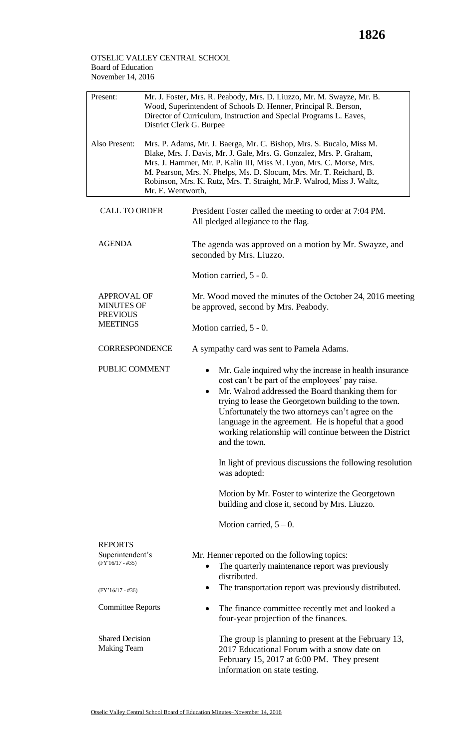## OTSELIC VALLEY CENTRAL SCHOOL Board of Education November 14, 2016

| Present:                                                   | District Clerk G. Burpee                                                                                                                                                                                                                                                                                                                                                                  | Mr. J. Foster, Mrs. R. Peabody, Mrs. D. Liuzzo, Mr. M. Swayze, Mr. B.<br>Wood, Superintendent of Schools D. Henner, Principal R. Berson,<br>Director of Curriculum, Instruction and Special Programs L. Eaves,                                                                                                                                                                                                               |  |  |
|------------------------------------------------------------|-------------------------------------------------------------------------------------------------------------------------------------------------------------------------------------------------------------------------------------------------------------------------------------------------------------------------------------------------------------------------------------------|------------------------------------------------------------------------------------------------------------------------------------------------------------------------------------------------------------------------------------------------------------------------------------------------------------------------------------------------------------------------------------------------------------------------------|--|--|
| Also Present:                                              | Mrs. P. Adams, Mr. J. Baerga, Mr. C. Bishop, Mrs. S. Bucalo, Miss M.<br>Blake, Mrs. J. Davis, Mr. J. Gale, Mrs. G. Gonzalez, Mrs. P. Graham,<br>Mrs. J. Hammer, Mr. P. Kalin III, Miss M. Lyon, Mrs. C. Morse, Mrs.<br>M. Pearson, Mrs. N. Phelps, Ms. D. Slocum, Mrs. Mr. T. Reichard, B.<br>Robinson, Mrs. K. Rutz, Mrs. T. Straight, Mr.P. Walrod, Miss J. Waltz,<br>Mr. E. Wentworth, |                                                                                                                                                                                                                                                                                                                                                                                                                              |  |  |
| <b>CALL TO ORDER</b>                                       |                                                                                                                                                                                                                                                                                                                                                                                           | President Foster called the meeting to order at 7:04 PM.<br>All pledged allegiance to the flag.                                                                                                                                                                                                                                                                                                                              |  |  |
| <b>AGENDA</b>                                              |                                                                                                                                                                                                                                                                                                                                                                                           | The agenda was approved on a motion by Mr. Swayze, and<br>seconded by Mrs. Liuzzo.                                                                                                                                                                                                                                                                                                                                           |  |  |
|                                                            |                                                                                                                                                                                                                                                                                                                                                                                           | Motion carried, $5 - 0$ .                                                                                                                                                                                                                                                                                                                                                                                                    |  |  |
| <b>APPROVAL OF</b><br><b>MINUTES OF</b><br><b>PREVIOUS</b> |                                                                                                                                                                                                                                                                                                                                                                                           | Mr. Wood moved the minutes of the October 24, 2016 meeting<br>be approved, second by Mrs. Peabody.                                                                                                                                                                                                                                                                                                                           |  |  |
| <b>MEETINGS</b>                                            |                                                                                                                                                                                                                                                                                                                                                                                           | Motion carried, $5 - 0$ .                                                                                                                                                                                                                                                                                                                                                                                                    |  |  |
| <b>CORRESPONDENCE</b>                                      |                                                                                                                                                                                                                                                                                                                                                                                           | A sympathy card was sent to Pamela Adams.                                                                                                                                                                                                                                                                                                                                                                                    |  |  |
| PUBLIC COMMENT                                             |                                                                                                                                                                                                                                                                                                                                                                                           | Mr. Gale inquired why the increase in health insurance<br>cost can't be part of the employees' pay raise.<br>Mr. Walrod addressed the Board thanking them for<br>$\bullet$<br>trying to lease the Georgetown building to the town.<br>Unfortunately the two attorneys can't agree on the<br>language in the agreement. He is hopeful that a good<br>working relationship will continue between the District<br>and the town. |  |  |
|                                                            |                                                                                                                                                                                                                                                                                                                                                                                           | In light of previous discussions the following resolution<br>was adopted:                                                                                                                                                                                                                                                                                                                                                    |  |  |
|                                                            |                                                                                                                                                                                                                                                                                                                                                                                           | Motion by Mr. Foster to winterize the Georgetown<br>building and close it, second by Mrs. Liuzzo.                                                                                                                                                                                                                                                                                                                            |  |  |
|                                                            |                                                                                                                                                                                                                                                                                                                                                                                           | Motion carried, $5-0$ .                                                                                                                                                                                                                                                                                                                                                                                                      |  |  |
| <b>REPORTS</b>                                             |                                                                                                                                                                                                                                                                                                                                                                                           |                                                                                                                                                                                                                                                                                                                                                                                                                              |  |  |
| Superintendent's<br>$(FY'16/17 - #35)$                     |                                                                                                                                                                                                                                                                                                                                                                                           | Mr. Henner reported on the following topics:<br>The quarterly maintenance report was previously<br>distributed.                                                                                                                                                                                                                                                                                                              |  |  |
| $(FY'16/17 - #36)$                                         |                                                                                                                                                                                                                                                                                                                                                                                           | The transportation report was previously distributed.<br>$\bullet$                                                                                                                                                                                                                                                                                                                                                           |  |  |
| <b>Committee Reports</b>                                   |                                                                                                                                                                                                                                                                                                                                                                                           | The finance committee recently met and looked a<br>٠<br>four-year projection of the finances.                                                                                                                                                                                                                                                                                                                                |  |  |
| <b>Shared Decision</b><br><b>Making Team</b>               |                                                                                                                                                                                                                                                                                                                                                                                           | The group is planning to present at the February 13,<br>2017 Educational Forum with a snow date on<br>February 15, 2017 at 6:00 PM. They present<br>information on state testing.                                                                                                                                                                                                                                            |  |  |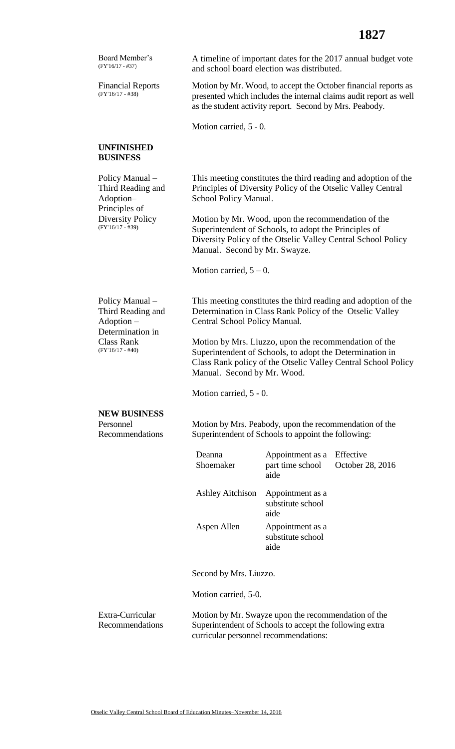| Board Member's<br>$(FY'16/17 - #37)$                                                                               |                                                                                                                                                                                                              | and school board election was distributed.                                                                                                                                    | A timeline of important dates for the 2017 annual budget vote                                                                   |
|--------------------------------------------------------------------------------------------------------------------|--------------------------------------------------------------------------------------------------------------------------------------------------------------------------------------------------------------|-------------------------------------------------------------------------------------------------------------------------------------------------------------------------------|---------------------------------------------------------------------------------------------------------------------------------|
| <b>Financial Reports</b><br>$(FY'16/17 - #38)$                                                                     | Motion by Mr. Wood, to accept the October financial reports as<br>presented which includes the internal claims audit report as well<br>as the student activity report. Second by Mrs. Peabody.               |                                                                                                                                                                               |                                                                                                                                 |
|                                                                                                                    | Motion carried, 5 - 0.                                                                                                                                                                                       |                                                                                                                                                                               |                                                                                                                                 |
| <b>UNFINISHED</b><br><b>BUSINESS</b>                                                                               |                                                                                                                                                                                                              |                                                                                                                                                                               |                                                                                                                                 |
| Policy Manual-<br>Third Reading and<br>Adoption-<br>Principles of                                                  | This meeting constitutes the third reading and adoption of the<br>Principles of Diversity Policy of the Otselic Valley Central<br>School Policy Manual.                                                      |                                                                                                                                                                               |                                                                                                                                 |
| <b>Diversity Policy</b><br>$(FY'16/17 - #39)$                                                                      | Motion by Mr. Wood, upon the recommendation of the<br>Superintendent of Schools, to adopt the Principles of<br>Diversity Policy of the Otselic Valley Central School Policy<br>Manual. Second by Mr. Swayze. |                                                                                                                                                                               |                                                                                                                                 |
|                                                                                                                    | Motion carried, $5 - 0$ .                                                                                                                                                                                    |                                                                                                                                                                               |                                                                                                                                 |
| Policy Manual-<br>Third Reading and<br>$Adoption -$<br>Determination in<br><b>Class Rank</b><br>$(FY'16/17 - #40)$ | Central School Policy Manual.<br>Manual. Second by Mr. Wood.<br>Motion carried, 5 - 0.                                                                                                                       | Determination in Class Rank Policy of the Otselic Valley<br>Motion by Mrs. Liuzzo, upon the recommendation of the<br>Superintendent of Schools, to adopt the Determination in | This meeting constitutes the third reading and adoption of the<br>Class Rank policy of the Otselic Valley Central School Policy |
| <b>NEW BUSINESS</b>                                                                                                |                                                                                                                                                                                                              |                                                                                                                                                                               |                                                                                                                                 |
| Personnel<br>Recommendations                                                                                       | Motion by Mrs. Peabody, upon the recommendation of the<br>Superintendent of Schools to appoint the following:                                                                                                |                                                                                                                                                                               |                                                                                                                                 |
|                                                                                                                    | Deanna<br>Shoemaker                                                                                                                                                                                          | Appointment as a<br>part time school<br>aide                                                                                                                                  | Effective<br>October 28, 2016                                                                                                   |
|                                                                                                                    | Ashley Aitchison                                                                                                                                                                                             | Appointment as a<br>substitute school<br>aide                                                                                                                                 |                                                                                                                                 |
|                                                                                                                    | Aspen Allen                                                                                                                                                                                                  | Appointment as a<br>substitute school<br>aide                                                                                                                                 |                                                                                                                                 |
|                                                                                                                    | Second by Mrs. Liuzzo.                                                                                                                                                                                       |                                                                                                                                                                               |                                                                                                                                 |
|                                                                                                                    | Motion carried, 5-0.                                                                                                                                                                                         |                                                                                                                                                                               |                                                                                                                                 |
| Extra-Curricular<br>Recommendations                                                                                | curricular personnel recommendations:                                                                                                                                                                        | Motion by Mr. Swayze upon the recommendation of the<br>Superintendent of Schools to accept the following extra                                                                |                                                                                                                                 |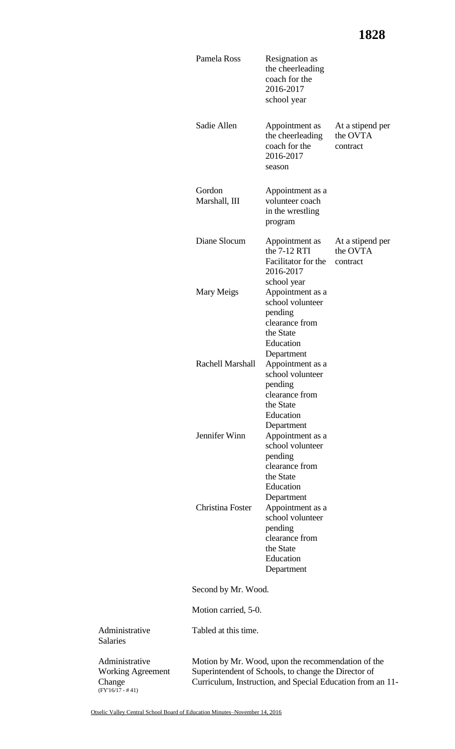|                                                      | Pamela Ross             | Resignation as<br>the cheerleading<br>coach for the<br>2016-2017<br>school year                                                                                          |                                          |
|------------------------------------------------------|-------------------------|--------------------------------------------------------------------------------------------------------------------------------------------------------------------------|------------------------------------------|
|                                                      | Sadie Allen             | Appointment as<br>the cheerleading<br>coach for the<br>2016-2017<br>season                                                                                               | At a stipend per<br>the OVTA<br>contract |
|                                                      | Gordon<br>Marshall, III | Appointment as a<br>volunteer coach<br>in the wrestling<br>program                                                                                                       |                                          |
|                                                      | Diane Slocum            | Appointment as<br>the $7-12$ RTI<br>Facilitator for the<br>2016-2017<br>school year                                                                                      | At a stipend per<br>the OVTA<br>contract |
|                                                      | Mary Meigs              | Appointment as a<br>school volunteer<br>pending<br>clearance from<br>the State<br>Education<br>Department                                                                |                                          |
|                                                      | Rachell Marshall        | Appointment as a<br>school volunteer<br>pending<br>clearance from<br>the State<br>Education<br>Department                                                                |                                          |
|                                                      | Jennifer Winn           | Appointment as a<br>school volunteer<br>pending<br>clearance from<br>the State<br>Education<br>Department                                                                |                                          |
|                                                      | Christina Foster        | Appointment as a<br>school volunteer<br>pending<br>clearance from<br>the State<br>Education<br>Department                                                                |                                          |
|                                                      | Second by Mr. Wood.     |                                                                                                                                                                          |                                          |
|                                                      | Motion carried, 5-0.    |                                                                                                                                                                          |                                          |
| Administrative<br><b>Salaries</b>                    | Tabled at this time.    |                                                                                                                                                                          |                                          |
| Administrative<br><b>Working Agreement</b><br>Change |                         | Motion by Mr. Wood, upon the recommendation of the<br>Superintendent of Schools, to change the Director of<br>Curriculum, Instruction, and Special Education from an 11- |                                          |

Change (FY'16/17 - # 41)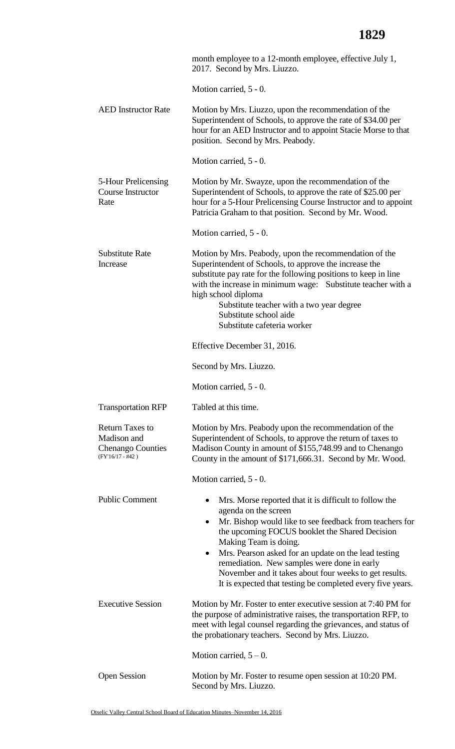|                                                                                         | month employee to a 12-month employee, effective July 1,<br>2017. Second by Mrs. Liuzzo.                                                                                                                                                                                                                                                                                                                                                                                                   |
|-----------------------------------------------------------------------------------------|--------------------------------------------------------------------------------------------------------------------------------------------------------------------------------------------------------------------------------------------------------------------------------------------------------------------------------------------------------------------------------------------------------------------------------------------------------------------------------------------|
|                                                                                         | Motion carried, 5 - 0.                                                                                                                                                                                                                                                                                                                                                                                                                                                                     |
| <b>AED</b> Instructor Rate                                                              | Motion by Mrs. Liuzzo, upon the recommendation of the<br>Superintendent of Schools, to approve the rate of \$34.00 per<br>hour for an AED Instructor and to appoint Stacie Morse to that<br>position. Second by Mrs. Peabody.                                                                                                                                                                                                                                                              |
|                                                                                         | Motion carried, 5 - 0.                                                                                                                                                                                                                                                                                                                                                                                                                                                                     |
| 5-Hour Prelicensing<br>Course Instructor<br>Rate                                        | Motion by Mr. Swayze, upon the recommendation of the<br>Superintendent of Schools, to approve the rate of \$25.00 per<br>hour for a 5-Hour Prelicensing Course Instructor and to appoint<br>Patricia Graham to that position. Second by Mr. Wood.                                                                                                                                                                                                                                          |
|                                                                                         | Motion carried, 5 - 0.                                                                                                                                                                                                                                                                                                                                                                                                                                                                     |
| <b>Substitute Rate</b><br>Increase                                                      | Motion by Mrs. Peabody, upon the recommendation of the<br>Superintendent of Schools, to approve the increase the<br>substitute pay rate for the following positions to keep in line<br>with the increase in minimum wage: Substitute teacher with a<br>high school diploma<br>Substitute teacher with a two year degree<br>Substitute school aide<br>Substitute cafeteria worker                                                                                                           |
|                                                                                         | Effective December 31, 2016.                                                                                                                                                                                                                                                                                                                                                                                                                                                               |
|                                                                                         | Second by Mrs. Liuzzo.                                                                                                                                                                                                                                                                                                                                                                                                                                                                     |
|                                                                                         | Motion carried, $5 - 0$ .                                                                                                                                                                                                                                                                                                                                                                                                                                                                  |
| <b>Transportation RFP</b>                                                               | Tabled at this time.                                                                                                                                                                                                                                                                                                                                                                                                                                                                       |
| <b>Return Taxes to</b><br>Madison and<br><b>Chenango Counties</b><br>$(FY'16/17 - #42)$ | Motion by Mrs. Peabody upon the recommendation of the<br>Superintendent of Schools, to approve the return of taxes to<br>Madison County in amount of \$155,748.99 and to Chenango<br>County in the amount of \$171,666.31. Second by Mr. Wood.                                                                                                                                                                                                                                             |
|                                                                                         | Motion carried, 5 - 0.                                                                                                                                                                                                                                                                                                                                                                                                                                                                     |
| <b>Public Comment</b>                                                                   | Mrs. Morse reported that it is difficult to follow the<br>$\bullet$<br>agenda on the screen<br>Mr. Bishop would like to see feedback from teachers for<br>$\bullet$<br>the upcoming FOCUS booklet the Shared Decision<br>Making Team is doing.<br>Mrs. Pearson asked for an update on the lead testing<br>$\bullet$<br>remediation. New samples were done in early<br>November and it takes about four weeks to get results.<br>It is expected that testing be completed every five years. |
| <b>Executive Session</b>                                                                | Motion by Mr. Foster to enter executive session at 7:40 PM for<br>the purpose of administrative raises, the transportation RFP, to<br>meet with legal counsel regarding the grievances, and status of<br>the probationary teachers. Second by Mrs. Liuzzo.                                                                                                                                                                                                                                 |
|                                                                                         | Motion carried, $5 - 0$ .                                                                                                                                                                                                                                                                                                                                                                                                                                                                  |
| <b>Open Session</b>                                                                     | Motion by Mr. Foster to resume open session at 10:20 PM.<br>Second by Mrs. Liuzzo.                                                                                                                                                                                                                                                                                                                                                                                                         |